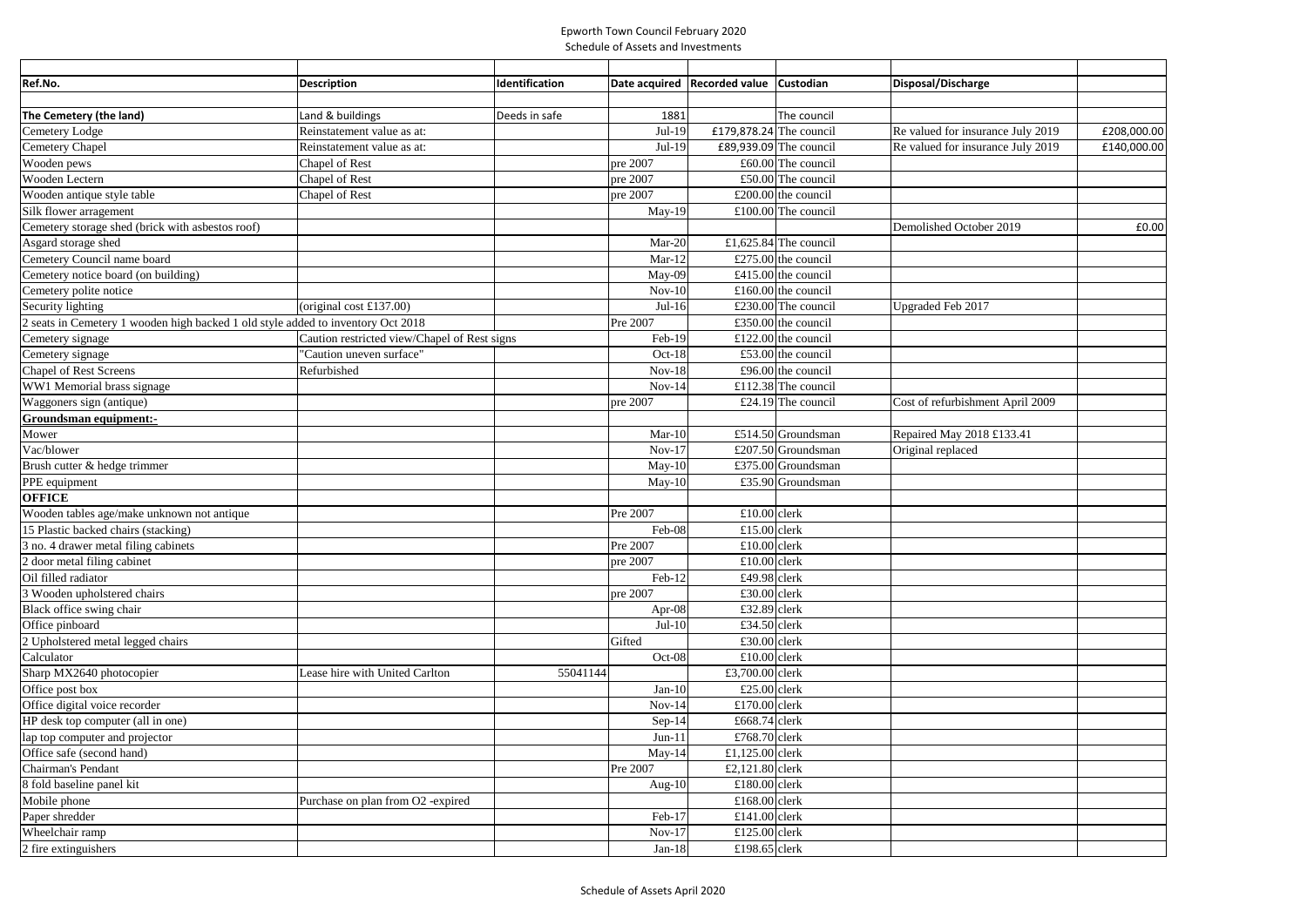## Epworth Town Council February 2020 Schedule of Assets and Investments

| Ref.No.                                                                          | <b>Description</b>                           | Identification |           | Date acquired   Recorded value | Custodian              | Disposal/Discharge                |             |
|----------------------------------------------------------------------------------|----------------------------------------------|----------------|-----------|--------------------------------|------------------------|-----------------------------------|-------------|
|                                                                                  |                                              |                |           |                                |                        |                                   |             |
| The Cemetery (the land)                                                          | Land & buildings                             | Deeds in safe  | 1881      |                                | The council            |                                   |             |
| Cemetery Lodge                                                                   | Reinstatement value as at:                   |                | $Jul-19$  | £179,878.24 The council        |                        | Re valued for insurance July 2019 | £208,000.00 |
| Cemetery Chapel                                                                  | Reinstatement value as at:                   |                | Jul-19    |                                | £89,939.09 The council | Re valued for insurance July 2019 | £140,000.00 |
| Wooden pews                                                                      | Chapel of Rest                               |                | pre 2007  |                                | £60.00 The council     |                                   |             |
| Wooden Lectern                                                                   | Chapel of Rest                               |                | pre 2007  |                                | £50.00 The council     |                                   |             |
| Wooden antique style table                                                       | Chapel of Rest                               |                | pre 2007  |                                | £200.00 the council    |                                   |             |
| Silk flower arragement                                                           |                                              |                | $May-19$  |                                | £100.00 The council    |                                   |             |
| Cemetery storage shed (brick with asbestos roof)                                 |                                              |                |           |                                |                        | Demolished October 2019           | £0.00       |
| Asgard storage shed                                                              |                                              |                | Mar-20    |                                | £1,625.84 The council  |                                   |             |
| Cemetery Council name board                                                      |                                              |                | $Mar-12$  |                                | £275.00 the council    |                                   |             |
| Cemetery notice board (on building)                                              |                                              |                | $May-09$  |                                | £415.00 the council    |                                   |             |
| Cemetery polite notice                                                           |                                              |                | $Nov-10$  |                                | £160.00 the council    |                                   |             |
| Security lighting                                                                | (original cost $£137.00$ )                   |                | $Jul-16$  |                                | £230.00 The council    | <b>Upgraded Feb 2017</b>          |             |
| 2 seats in Cemetery 1 wooden high backed 1 old style added to inventory Oct 2018 |                                              |                | Pre 2007  |                                | £350.00 the council    |                                   |             |
| Cemetery signage                                                                 | Caution restricted view/Chapel of Rest signs |                | Feb-19    |                                | £122.00 the council    |                                   |             |
| Cemetery signage                                                                 | "Caution uneven surface"                     |                | Oct-18    |                                | £53.00 the council     |                                   |             |
| <b>Chapel of Rest Screens</b>                                                    | Refurbished                                  |                | $Nov-18$  |                                | £96.00 the council     |                                   |             |
| WW1 Memorial brass signage                                                       |                                              |                | $Nov-14$  |                                | £112.38 The council    |                                   |             |
| Waggoners sign (antique)                                                         |                                              |                | pre 2007  |                                | £24.19 The council     | Cost of refurbishment April 2009  |             |
| Groundsman equipment:-                                                           |                                              |                |           |                                |                        |                                   |             |
| Mower                                                                            |                                              |                | $Mar-10$  |                                | £514.50 Groundsman     | Repaired May 2018 £133.41         |             |
| Vac/blower                                                                       |                                              |                | $Nov-17$  |                                | £207.50 Groundsman     | Original replaced                 |             |
| Brush cutter & hedge trimmer                                                     |                                              |                | $May-10$  |                                | £375.00 Groundsman     |                                   |             |
| PPE equipment                                                                    |                                              |                | $May-10$  |                                | £35.90 Groundsman      |                                   |             |
| <b>OFFICE</b>                                                                    |                                              |                |           |                                |                        |                                   |             |
| Wooden tables age/make unknown not antique                                       |                                              |                | Pre 2007  | £10.00 clerk                   |                        |                                   |             |
| 15 Plastic backed chairs (stacking)                                              |                                              |                | Feb-08    | £15.00 clerk                   |                        |                                   |             |
| 3 no. 4 drawer metal filing cabinets                                             |                                              |                | Pre 2007  | $£10.00$ clerk                 |                        |                                   |             |
| 2 door metal filing cabinet                                                      |                                              |                | pre 2007  | £10.00 clerk                   |                        |                                   |             |
| Oil filled radiator                                                              |                                              |                | Feb-12    | £49.98 $clerk$                 |                        |                                   |             |
| 3 Wooden upholstered chairs                                                      |                                              |                | pre 2007  | £30.00 clerk                   |                        |                                   |             |
| Black office swing chair                                                         |                                              |                | Apr-08    | £32.89 clerk                   |                        |                                   |             |
| Office pinboard                                                                  |                                              |                | $Jul-10$  | £34.50 clerk                   |                        |                                   |             |
| 2 Upholstered metal legged chairs                                                |                                              |                | Gifted    | £30.00 clerk                   |                        |                                   |             |
| Calculator                                                                       |                                              |                | Oct-08    | £10.00 clerk                   |                        |                                   |             |
| Sharp MX2640 photocopier                                                         | Lease hire with United Carlton               | 55041144       |           | £3,700.00 clerk                |                        |                                   |             |
| Office post box                                                                  |                                              |                | $Jan-10$  | £25.00 clerk                   |                        |                                   |             |
| Office digital voice recorder                                                    |                                              |                | $Nov-14$  | £170.00 clerk                  |                        |                                   |             |
| HP desk top computer (all in one)                                                |                                              |                | $Sep-14$  | £668.74 clerk                  |                        |                                   |             |
| lap top computer and projector                                                   |                                              |                | $Jun-11$  | £768.70 clerk                  |                        |                                   |             |
| Office safe (second hand)                                                        |                                              |                | $May-14$  | £1,125.00 clerk                |                        |                                   |             |
| Chairman's Pendant                                                               |                                              |                | Pre 2007  | £2,121.80 clerk                |                        |                                   |             |
| 8 fold baseline panel kit                                                        |                                              |                | Aug- $10$ | £180.00 clerk                  |                        |                                   |             |
| Mobile phone                                                                     | Purchase on plan from O2 -expired            |                |           | £168.00 clerk                  |                        |                                   |             |
| Paper shredder                                                                   |                                              |                | Feb-17    | £141.00 clerk                  |                        |                                   |             |
| Wheelchair ramp                                                                  |                                              |                | $Nov-17$  | £125.00 clerk                  |                        |                                   |             |
| 2 fire extinguishers                                                             |                                              |                | $Jan-18$  | £198.65 clerk                  |                        |                                   |             |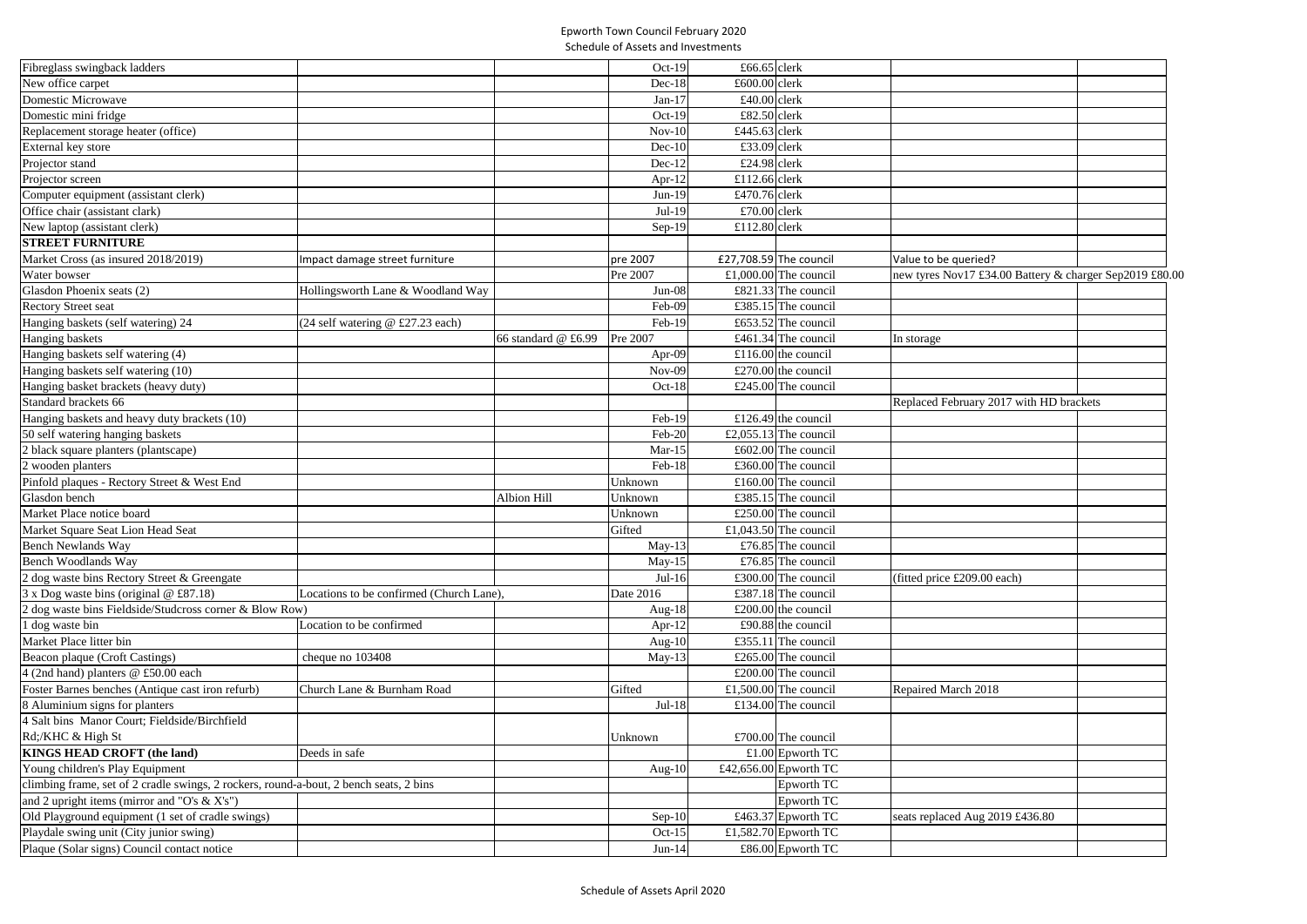## Epworth Town Council February 2020 Schedule of Assets and Investments

| Fibreglass swingback ladders                                                           |                                          |                      | $Oct-19$  | £66.65 clerk           |                                                         |  |
|----------------------------------------------------------------------------------------|------------------------------------------|----------------------|-----------|------------------------|---------------------------------------------------------|--|
| New office carpet                                                                      |                                          |                      | $Dec-18$  | £600.00 clerk          |                                                         |  |
| Domestic Microwave                                                                     |                                          |                      | $Jan-17$  | £40.00 clerk           |                                                         |  |
| Domestic mini fridge                                                                   |                                          |                      | Oct-19    | £82.50 clerk           |                                                         |  |
| Replacement storage heater (office)                                                    |                                          |                      | $Nov-10$  | £445.63 clerk          |                                                         |  |
| External key store                                                                     |                                          |                      | $Dec-10$  | £33.09 clerk           |                                                         |  |
| Projector stand                                                                        |                                          |                      | $Dec-12$  | £24.98 clerk           |                                                         |  |
| Projector screen                                                                       |                                          |                      | Apr-12    | £112.66 clerk          |                                                         |  |
| Computer equipment (assistant clerk)                                                   |                                          |                      | $Jun-19$  | £470.76 clerk          |                                                         |  |
| Office chair (assistant clark)                                                         |                                          |                      | Jul-19    | £70.00 clerk           |                                                         |  |
| New laptop (assistant clerk)                                                           |                                          |                      | Sep-19    | £112.80 clerk          |                                                         |  |
| <b>STREET FURNITURE</b>                                                                |                                          |                      |           |                        |                                                         |  |
| Market Cross (as insured 2018/2019)                                                    | Impact damage street furniture           |                      | pre 2007  | £27,708.59 The council | Value to be queried?                                    |  |
| Water bowser                                                                           |                                          |                      | Pre 2007  | £1,000.00 The council  | new tyres Nov17 £34.00 Battery & charger Sep2019 £80.00 |  |
| Glasdon Phoenix seats (2)                                                              | Hollingsworth Lane & Woodland Way        |                      | $Jun-08$  | £821.33 The council    |                                                         |  |
| <b>Rectory Street seat</b>                                                             |                                          |                      | Feb-09    | £385.15 The council    |                                                         |  |
| Hanging baskets (self watering) 24                                                     | (24 self watering @ £27.23 each)         |                      | Feb-19    | £653.52 The council    |                                                         |  |
| Hanging baskets                                                                        |                                          | 66 standard $@f6.99$ | Pre 2007  | £461.34 The council    | In storage                                              |  |
| Hanging baskets self watering (4)                                                      |                                          |                      | Apr-09    | £116.00 the council    |                                                         |  |
| Hanging baskets self watering (10)                                                     |                                          |                      | $Nov-09$  | £270.00 the council    |                                                         |  |
| Hanging basket brackets (heavy duty)                                                   |                                          |                      | Oct-18    | £245.00 The council    |                                                         |  |
| Standard brackets 66                                                                   |                                          |                      |           |                        | Replaced February 2017 with HD brackets                 |  |
| Hanging baskets and heavy duty brackets (10)                                           |                                          |                      | Feb-19    | £126.49 the council    |                                                         |  |
| 50 self watering hanging baskets                                                       |                                          |                      | Feb-20    | £2,055.13 The council  |                                                         |  |
| 2 black square planters (plantscape)                                                   |                                          |                      | $Mar-15$  | £602.00 The council    |                                                         |  |
| 2 wooden planters                                                                      |                                          |                      | Feb-18    | £360.00 The council    |                                                         |  |
| Pinfold plaques - Rectory Street & West End                                            |                                          |                      | Unknown   | £160.00 The council    |                                                         |  |
| Glasdon bench                                                                          |                                          | Albion Hill          | Unknown   | £385.15 The council    |                                                         |  |
| Market Place notice board                                                              |                                          |                      | Unknown   | £250.00 The council    |                                                         |  |
|                                                                                        |                                          |                      | Gifted    | £1,043.50 The council  |                                                         |  |
| Market Square Seat Lion Head Seat<br>Bench Newlands Way                                |                                          |                      | May-13    | £76.85 The council     |                                                         |  |
|                                                                                        |                                          |                      |           | £76.85 The council     |                                                         |  |
| Bench Woodlands Way                                                                    |                                          |                      | $May-15$  |                        |                                                         |  |
| 2 dog waste bins Rectory Street & Greengate                                            |                                          |                      | $Jul-16$  | £300.00 The council    | (fitted price £209.00 each)                             |  |
| $3 \times$ Dog waste bins (original @ £87.18)                                          | Locations to be confirmed (Church Lane), |                      | Date 2016 | £387.18 The council    |                                                         |  |
| 2 dog waste bins Fieldside/Studcross corner & Blow Row)                                |                                          |                      | Aug-18    | £200.00 the council    |                                                         |  |
| l dog waste bin<br>Market Place litter bin                                             | Location to be confirmed                 |                      | Apr- $12$ | £90.88 the council     |                                                         |  |
|                                                                                        |                                          |                      | Aug- $10$ | £355.11 The council    |                                                         |  |
| Beacon plaque (Croft Castings)                                                         | cheque no 103408                         |                      | $May-13$  | £265.00 The council    |                                                         |  |
| 4 (2nd hand) planters @ £50.00 each                                                    |                                          |                      |           | £200.00 The council    |                                                         |  |
| Foster Barnes benches (Antique cast iron refurb)                                       | Church Lane & Burnham Road               |                      | Gifted    | £1,500.00 The council  | Repaired March 2018                                     |  |
| 8 Aluminium signs for planters                                                         |                                          |                      | $Jul-18$  | £134.00 The council    |                                                         |  |
| 4 Salt bins Manor Court; Fieldside/Birchfield                                          |                                          |                      |           |                        |                                                         |  |
| Rd;/KHC & High St                                                                      |                                          |                      | Unknown   | £700.00 The council    |                                                         |  |
| <b>KINGS HEAD CROFT (the land)</b>                                                     | Deeds in safe                            |                      |           | £1.00 Epworth TC       |                                                         |  |
| Young children's Play Equipment                                                        |                                          |                      | Aug- $10$ | £42,656.00 Epworth TC  |                                                         |  |
| climbing frame, set of 2 cradle swings, 2 rockers, round-a-bout, 2 bench seats, 2 bins |                                          |                      |           | Epworth TC             |                                                         |  |
| and 2 upright items (mirror and "O's $& X's$ ")                                        |                                          |                      |           | Epworth TC             |                                                         |  |
| Old Playground equipment (1 set of cradle swings)                                      |                                          |                      | $Sep-10$  | £463.37 Epworth TC     | seats replaced Aug 2019 £436.80                         |  |
| Playdale swing unit (City junior swing)                                                |                                          |                      | Oct-15    | £1,582.70 Epworth TC   |                                                         |  |
| Plaque (Solar signs) Council contact notice                                            |                                          |                      | $Jun-14$  | £86.00 Epworth TC      |                                                         |  |